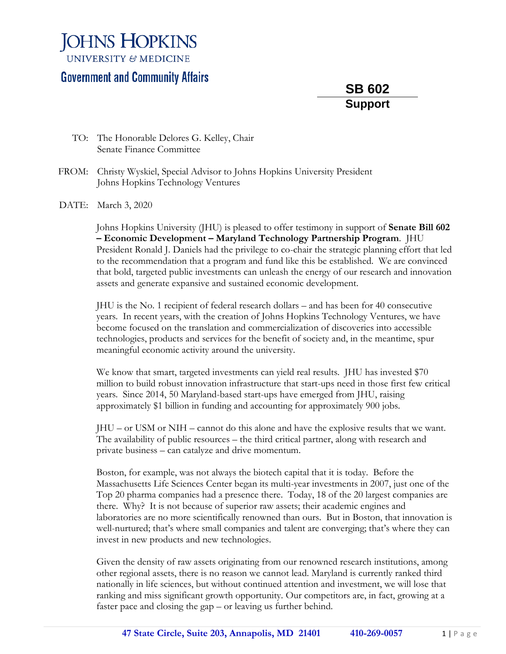## **JOHNS HOPKINS**

**UNIVERSITY & MEDICINE** 

## **Government and Community Affairs**

**SB 602 Support**

- TO: The Honorable Delores G. Kelley, Chair Senate Finance Committee
- FROM: Christy Wyskiel, Special Advisor to Johns Hopkins University President Johns Hopkins Technology Ventures
- DATE: March 3, 2020

Johns Hopkins University (JHU) is pleased to offer testimony in support of **Senate Bill 602 – Economic Development – Maryland Technology Partnership Program**. JHU President Ronald J. Daniels had the privilege to co-chair the strategic planning effort that led to the recommendation that a program and fund like this be established. We are convinced that bold, targeted public investments can unleash the energy of our research and innovation assets and generate expansive and sustained economic development.

JHU is the No. 1 recipient of federal research dollars – and has been for 40 consecutive years. In recent years, with the creation of Johns Hopkins Technology Ventures, we have become focused on the translation and commercialization of discoveries into accessible technologies, products and services for the benefit of society and, in the meantime, spur meaningful economic activity around the university.

We know that smart, targeted investments can yield real results. JHU has invested \$70 million to build robust innovation infrastructure that start-ups need in those first few critical years. Since 2014, 50 Maryland-based start-ups have emerged from JHU, raising approximately \$1 billion in funding and accounting for approximately 900 jobs.

JHU – or USM or NIH – cannot do this alone and have the explosive results that we want. The availability of public resources – the third critical partner, along with research and private business – can catalyze and drive momentum.

Boston, for example, was not always the biotech capital that it is today. Before the Massachusetts Life Sciences Center began its multi-year investments in 2007, just one of the Top 20 pharma companies had a presence there. Today, 18 of the 20 largest companies are there. Why? It is not because of superior raw assets; their academic engines and laboratories are no more scientifically renowned than ours. But in Boston, that innovation is well-nurtured; that's where small companies and talent are converging; that's where they can invest in new products and new technologies.

Given the density of raw assets originating from our renowned research institutions, among other regional assets, there is no reason we cannot lead. Maryland is currently ranked third nationally in life sciences, but without continued attention and investment, we will lose that ranking and miss significant growth opportunity. Our competitors are, in fact, growing at a faster pace and closing the gap – or leaving us further behind.